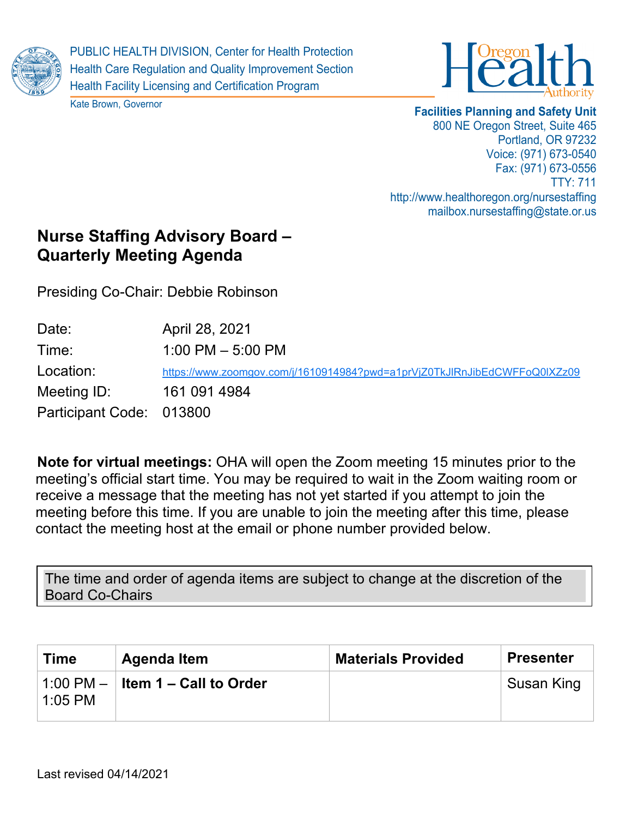

PUBLIC HEALTH DIVISION, Center for Health Protection Health Care Regulation and Quality Improvement Section Health Facility Licensing and Certification Program





## **Facilities Planning and Safety Unit** 800 NE Oregon Street, Suite 465 Portland, OR 97232 Voice: (971) 673-0540 Fax: (971) 673-0556 TTY: 711 http://www.healthoregon.org/nursestaffing mailbox.nursestaffing@state.or.us

## **Nurse Staffing Advisory Board – Quarterly Meeting Agenda**

Presiding Co-Chair: Debbie Robinson

| Date:                    | April 28, 2021                                                            |
|--------------------------|---------------------------------------------------------------------------|
| Time:                    | 1:00 PM $-$ 5:00 PM                                                       |
| Location:                | https://www.zoomgov.com/j/1610914984?pwd=a1prVjZ0TkJlRnJibEdCWFFoQ0lXZz09 |
| Meeting ID:              | 161 091 4984                                                              |
| Participant Code: 013800 |                                                                           |

**Note for virtual meetings:** OHA will open the Zoom meeting 15 minutes prior to the meeting's official start time. You may be required to wait in the Zoom waiting room or receive a message that the meeting has not yet started if you attempt to join the meeting before this time. If you are unable to join the meeting after this time, please contact the meeting host at the email or phone number provided below.

The time and order of agenda items are subject to change at the discretion of the Board Co-Chairs

| <b>Time</b> | Agenda Item              | <b>Materials Provided</b> | <b>Presenter</b> |
|-------------|--------------------------|---------------------------|------------------|
| $1:05$ PM   | I Item 1 – Call to Order |                           | Susan King       |
|             |                          |                           |                  |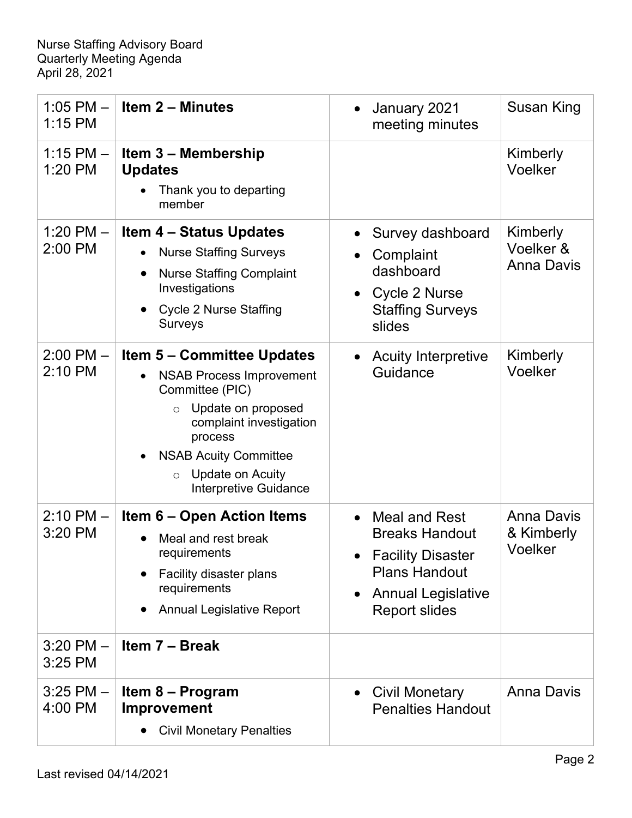| $1:05$ PM $-$<br>1:15 PM   | <b>Item 2 - Minutes</b>                                                                                                                                                                                                                                                    | January 2021<br>meeting minutes                                                                                                                   | Susan King                                 |
|----------------------------|----------------------------------------------------------------------------------------------------------------------------------------------------------------------------------------------------------------------------------------------------------------------------|---------------------------------------------------------------------------------------------------------------------------------------------------|--------------------------------------------|
| $1:15$ PM $-$<br>$1:20$ PM | <b>Item 3 - Membership</b><br><b>Updates</b><br>Thank you to departing<br>member                                                                                                                                                                                           |                                                                                                                                                   | Kimberly<br>Voelker                        |
| 1:20 PM $-$<br>2:00 PM     | <b>Item 4 – Status Updates</b><br><b>Nurse Staffing Surveys</b><br><b>Nurse Staffing Complaint</b><br>Investigations<br><b>Cycle 2 Nurse Staffing</b><br><b>Surveys</b>                                                                                                    | Survey dashboard<br>Complaint<br>dashboard<br>Cycle 2 Nurse<br><b>Staffing Surveys</b><br>slides                                                  | Kimberly<br>Voelker &<br><b>Anna Davis</b> |
| $2:00$ PM $-$<br>2:10 PM   | <b>Item 5 - Committee Updates</b><br><b>NSAB Process Improvement</b><br>$\bullet$<br>Committee (PIC)<br>Update on proposed<br>$\circ$<br>complaint investigation<br>process<br><b>NSAB Acuity Committee</b><br><b>Update on Acuity</b><br>$\circ$<br>Interpretive Guidance | <b>Acuity Interpretive</b><br>Guidance                                                                                                            | Kimberly<br>Voelker                        |
| $2:10$ PM $-$<br>3:20 PM   | <b>Item 6 – Open Action Items</b><br>Meal and rest break<br>requirements<br>Facility disaster plans<br>requirements<br><b>Annual Legislative Report</b>                                                                                                                    | <b>Meal and Rest</b><br><b>Breaks Handout</b><br>• Facility Disaster<br><b>Plans Handout</b><br><b>Annual Legislative</b><br><b>Report slides</b> | <b>Anna Davis</b><br>& Kimberly<br>Voelker |
| $3:20$ PM $-$<br>$3:25$ PM | Item 7 - Break                                                                                                                                                                                                                                                             |                                                                                                                                                   |                                            |
| $3:25$ PM $-$<br>4:00 PM   | Item 8 – Program<br>Improvement<br><b>Civil Monetary Penalties</b>                                                                                                                                                                                                         | <b>Civil Monetary</b><br><b>Penalties Handout</b>                                                                                                 | <b>Anna Davis</b>                          |